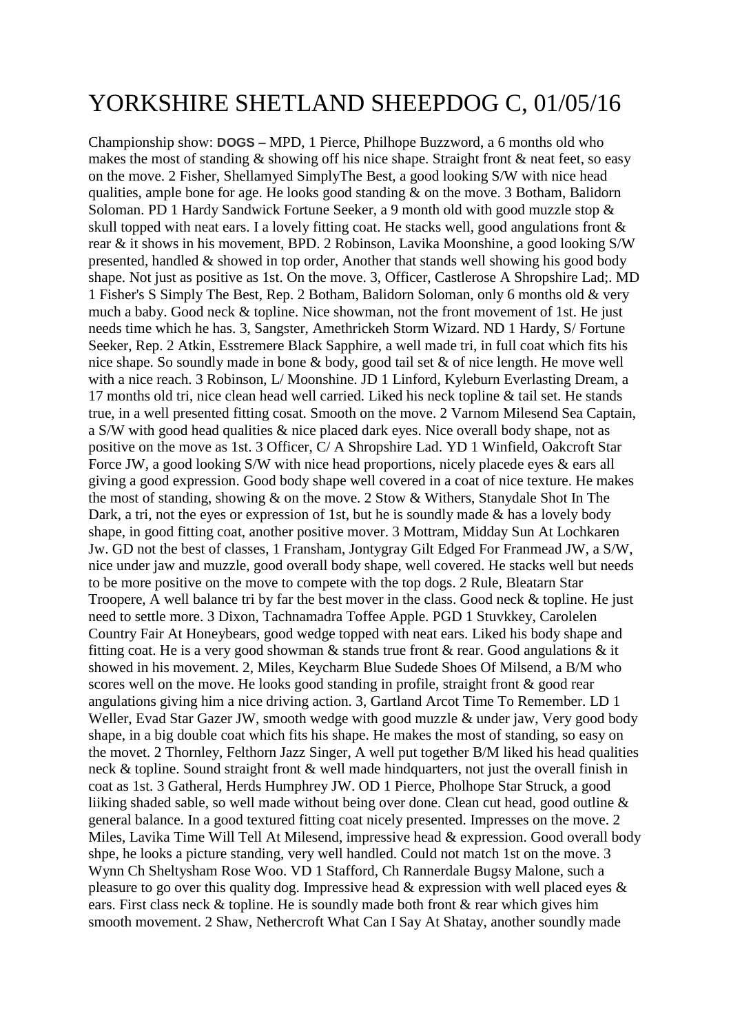## YORKSHIRE SHETLAND SHEEPDOG C, 01/05/16

Championship show: **DOGS –** MPD, 1 Pierce, Philhope Buzzword, a 6 months old who makes the most of standing & showing off his nice shape. Straight front & neat feet, so easy on the move. 2 Fisher, Shellamyed SimplyThe Best, a good looking S/W with nice head qualities, ample bone for age. He looks good standing & on the move. 3 Botham, Balidorn Soloman. PD 1 Hardy Sandwick Fortune Seeker, a 9 month old with good muzzle stop & skull topped with neat ears. I a lovely fitting coat. He stacks well, good angulations front & rear & it shows in his movement, BPD. 2 Robinson, Lavika Moonshine, a good looking S/W presented, handled & showed in top order, Another that stands well showing his good body shape. Not just as positive as 1st. On the move. 3, Officer, Castlerose A Shropshire Lad;. MD 1 Fisher's S Simply The Best, Rep. 2 Botham, Balidorn Soloman, only 6 months old & very much a baby. Good neck & topline. Nice showman, not the front movement of 1st. He just needs time which he has. 3, Sangster, Amethrickeh Storm Wizard. ND 1 Hardy, S/ Fortune Seeker, Rep. 2 Atkin, Esstremere Black Sapphire, a well made tri, in full coat which fits his nice shape. So soundly made in bone & body, good tail set & of nice length. He move well with a nice reach. 3 Robinson, L/Moonshine. JD 1 Linford, Kyleburn Everlasting Dream, a 17 months old tri, nice clean head well carried. Liked his neck topline & tail set. He stands true, in a well presented fitting cosat. Smooth on the move. 2 Varnom Milesend Sea Captain, a S/W with good head qualities & nice placed dark eyes. Nice overall body shape, not as positive on the move as 1st. 3 Officer, C/ A Shropshire Lad. YD 1 Winfield, Oakcroft Star Force JW, a good looking S/W with nice head proportions, nicely placede eyes & ears all giving a good expression. Good body shape well covered in a coat of nice texture. He makes the most of standing, showing & on the move. 2 Stow & Withers, Stanydale Shot In The Dark, a tri, not the eyes or expression of 1st, but he is soundly made  $\&$  has a lovely body shape, in good fitting coat, another positive mover. 3 Mottram, Midday Sun At Lochkaren Jw. GD not the best of classes, 1 Fransham, Jontygray Gilt Edged For Franmead JW, a S/W, nice under jaw and muzzle, good overall body shape, well covered. He stacks well but needs to be more positive on the move to compete with the top dogs. 2 Rule, Bleatarn Star Troopere, A well balance tri by far the best mover in the class. Good neck & topline. He just need to settle more. 3 Dixon, Tachnamadra Toffee Apple. PGD 1 Stuvkkey, Carolelen Country Fair At Honeybears, good wedge topped with neat ears. Liked his body shape and fitting coat. He is a very good showman & stands true front & rear. Good angulations & it showed in his movement. 2, Miles, Keycharm Blue Sudede Shoes Of Milsend, a B/M who scores well on the move. He looks good standing in profile, straight front & good rear angulations giving him a nice driving action. 3, Gartland Arcot Time To Remember. LD 1 Weller, Evad Star Gazer JW, smooth wedge with good muzzle & under jaw, Very good body shape, in a big double coat which fits his shape. He makes the most of standing, so easy on the movet. 2 Thornley, Felthorn Jazz Singer, A well put together B/M liked his head qualities neck & topline. Sound straight front & well made hindquarters, not just the overall finish in coat as 1st. 3 Gatheral, Herds Humphrey JW. OD 1 Pierce, Pholhope Star Struck, a good liiking shaded sable, so well made without being over done. Clean cut head, good outline & general balance. In a good textured fitting coat nicely presented. Impresses on the move. 2 Miles, Lavika Time Will Tell At Milesend, impressive head & expression. Good overall body shpe, he looks a picture standing, very well handled. Could not match 1st on the move. 3 Wynn Ch Sheltysham Rose Woo. VD 1 Stafford, Ch Rannerdale Bugsy Malone, such a pleasure to go over this quality dog. Impressive head & expression with well placed eyes & ears. First class neck & topline. He is soundly made both front & rear which gives him smooth movement. 2 Shaw, Nethercroft What Can I Say At Shatay, another soundly made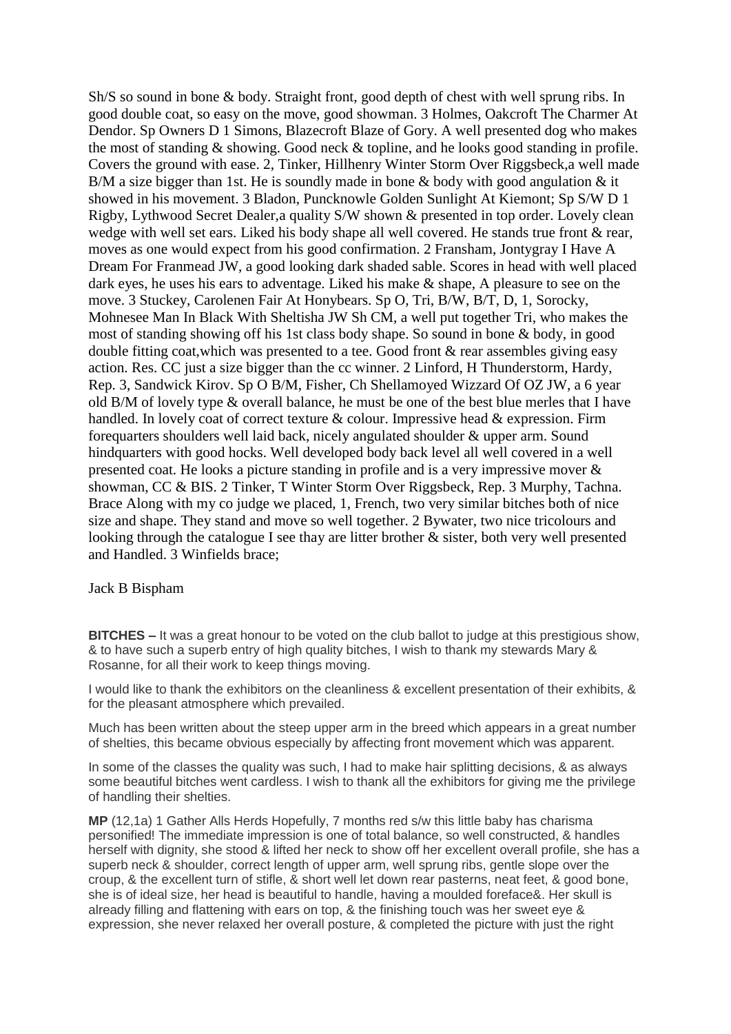Sh/S so sound in bone & body. Straight front, good depth of chest with well sprung ribs. In good double coat, so easy on the move, good showman. 3 Holmes, Oakcroft The Charmer At Dendor. Sp Owners D 1 Simons, Blazecroft Blaze of Gory. A well presented dog who makes the most of standing & showing. Good neck & topline, and he looks good standing in profile. Covers the ground with ease. 2, Tinker, Hillhenry Winter Storm Over Riggsbeck,a well made B/M a size bigger than 1st. He is soundly made in bone  $\&$  body with good angulation  $\&$  it showed in his movement. 3 Bladon, Puncknowle Golden Sunlight At Kiemont; Sp S/W D 1 Rigby, Lythwood Secret Dealer,a quality S/W shown & presented in top order. Lovely clean wedge with well set ears. Liked his body shape all well covered. He stands true front & rear, moves as one would expect from his good confirmation. 2 Fransham, Jontygray I Have A Dream For Franmead JW, a good looking dark shaded sable. Scores in head with well placed dark eyes, he uses his ears to adventage. Liked his make & shape, A pleasure to see on the move. 3 Stuckey, Carolenen Fair At Honybears. Sp O, Tri, B/W, B/T, D, 1, Sorocky, Mohnesee Man In Black With Sheltisha JW Sh CM, a well put together Tri, who makes the most of standing showing off his 1st class body shape. So sound in bone & body, in good double fitting coat,which was presented to a tee. Good front & rear assembles giving easy action. Res. CC just a size bigger than the cc winner. 2 Linford, H Thunderstorm, Hardy, Rep. 3, Sandwick Kirov. Sp O B/M, Fisher, Ch Shellamoyed Wizzard Of OZ JW, a 6 year old B/M of lovely type & overall balance, he must be one of the best blue merles that I have handled. In lovely coat of correct texture & colour. Impressive head & expression. Firm forequarters shoulders well laid back, nicely angulated shoulder & upper arm. Sound hindquarters with good hocks. Well developed body back level all well covered in a well presented coat. He looks a picture standing in profile and is a very impressive mover & showman, CC & BIS. 2 Tinker, T Winter Storm Over Riggsbeck, Rep. 3 Murphy, Tachna. Brace Along with my co judge we placed, 1, French, two very similar bitches both of nice size and shape. They stand and move so well together. 2 Bywater, two nice tricolours and looking through the catalogue I see thay are litter brother & sister, both very well presented and Handled. 3 Winfields brace;

Jack B Bispham

**BITCHES –** It was a great honour to be voted on the club ballot to judge at this prestigious show, & to have such a superb entry of high quality bitches, I wish to thank my stewards Mary & Rosanne, for all their work to keep things moving.

I would like to thank the exhibitors on the cleanliness & excellent presentation of their exhibits, & for the pleasant atmosphere which prevailed.

Much has been written about the steep upper arm in the breed which appears in a great number of shelties, this became obvious especially by affecting front movement which was apparent.

In some of the classes the quality was such, I had to make hair splitting decisions, & as always some beautiful bitches went cardless. I wish to thank all the exhibitors for giving me the privilege of handling their shelties.

**MP** (12,1a) 1 Gather Alls Herds Hopefully, 7 months red s/w this little baby has charisma personified! The immediate impression is one of total balance, so well constructed, & handles herself with dignity, she stood & lifted her neck to show off her excellent overall profile, she has a superb neck & shoulder, correct length of upper arm, well sprung ribs, gentle slope over the croup, & the excellent turn of stifle, & short well let down rear pasterns, neat feet, & good bone, she is of ideal size, her head is beautiful to handle, having a moulded foreface&. Her skull is already filling and flattening with ears on top, & the finishing touch was her sweet eye & expression, she never relaxed her overall posture, & completed the picture with just the right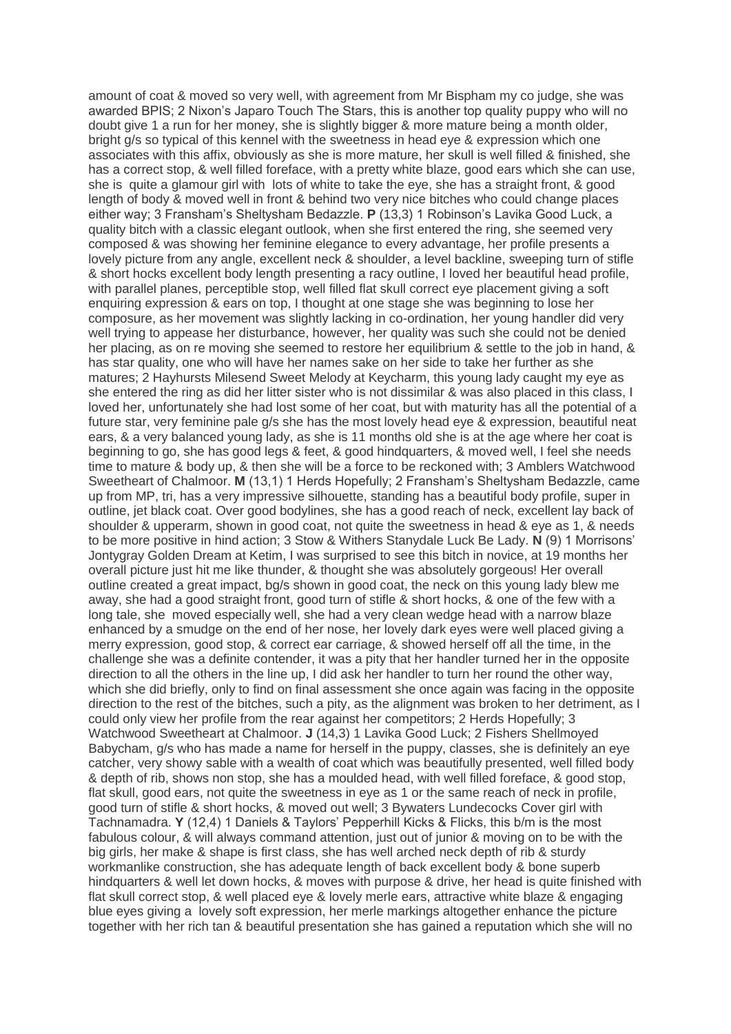amount of coat & moved so very well, with agreement from Mr Bispham my co judge, she was awarded BPIS; 2 Nixon's Japaro Touch The Stars, this is another top quality puppy who will no doubt give 1 a run for her money, she is slightly bigger & more mature being a month older, bright g/s so typical of this kennel with the sweetness in head eye & expression which one associates with this affix, obviously as she is more mature, her skull is well filled & finished, she has a correct stop, & well filled foreface, with a pretty white blaze, good ears which she can use, she is quite a glamour girl with lots of white to take the eye, she has a straight front, & good length of body & moved well in front & behind two very nice bitches who could change places either way; 3 Fransham's Sheltysham Bedazzle. **P** (13,3) 1 Robinson's Lavika Good Luck, a quality bitch with a classic elegant outlook, when she first entered the ring, she seemed very composed & was showing her feminine elegance to every advantage, her profile presents a lovely picture from any angle, excellent neck & shoulder, a level backline, sweeping turn of stifle & short hocks excellent body length presenting a racy outline, I loved her beautiful head profile, with parallel planes, perceptible stop, well filled flat skull correct eye placement giving a soft enquiring expression & ears on top, I thought at one stage she was beginning to lose her composure, as her movement was slightly lacking in co-ordination, her young handler did very well trying to appease her disturbance, however, her quality was such she could not be denied her placing, as on re moving she seemed to restore her equilibrium & settle to the job in hand, & has star quality, one who will have her names sake on her side to take her further as she matures; 2 Hayhursts Milesend Sweet Melody at Keycharm, this young lady caught my eye as she entered the ring as did her litter sister who is not dissimilar & was also placed in this class, I loved her, unfortunately she had lost some of her coat, but with maturity has all the potential of a future star, very feminine pale g/s she has the most lovely head eye & expression, beautiful neat ears, & a very balanced young lady, as she is 11 months old she is at the age where her coat is beginning to go, she has good legs & feet, & good hindquarters, & moved well, I feel she needs time to mature & body up, & then she will be a force to be reckoned with; 3 Amblers Watchwood Sweetheart of Chalmoor. **M** (13,1) 1 Herds Hopefully; 2 Fransham's Sheltysham Bedazzle, came up from MP, tri, has a very impressive silhouette, standing has a beautiful body profile, super in outline, jet black coat. Over good bodylines, she has a good reach of neck, excellent lay back of shoulder & upperarm, shown in good coat, not quite the sweetness in head & eye as 1, & needs to be more positive in hind action; 3 Stow & Withers Stanydale Luck Be Lady. **N** (9) 1 Morrisons' Jontygray Golden Dream at Ketim, I was surprised to see this bitch in novice, at 19 months her overall picture just hit me like thunder, & thought she was absolutely gorgeous! Her overall outline created a great impact, bg/s shown in good coat, the neck on this young lady blew me away, she had a good straight front, good turn of stifle & short hocks, & one of the few with a long tale, she moved especially well, she had a very clean wedge head with a narrow blaze enhanced by a smudge on the end of her nose, her lovely dark eyes were well placed giving a merry expression, good stop, & correct ear carriage, & showed herself off all the time, in the challenge she was a definite contender, it was a pity that her handler turned her in the opposite direction to all the others in the line up, I did ask her handler to turn her round the other way, which she did briefly, only to find on final assessment she once again was facing in the opposite direction to the rest of the bitches, such a pity, as the alignment was broken to her detriment, as I could only view her profile from the rear against her competitors; 2 Herds Hopefully; 3 Watchwood Sweetheart at Chalmoor. **J** (14,3) 1 Lavika Good Luck; 2 Fishers Shellmoyed Babycham, g/s who has made a name for herself in the puppy, classes, she is definitely an eye catcher, very showy sable with a wealth of coat which was beautifully presented, well filled body & depth of rib, shows non stop, she has a moulded head, with well filled foreface, & good stop, flat skull, good ears, not quite the sweetness in eye as 1 or the same reach of neck in profile, good turn of stifle & short hocks, & moved out well; 3 Bywaters Lundecocks Cover girl with Tachnamadra. **Y** (12,4) 1 Daniels & Taylors' Pepperhill Kicks & Flicks, this b/m is the most fabulous colour, & will always command attention, just out of junior & moving on to be with the big girls, her make & shape is first class, she has well arched neck depth of rib & sturdy workmanlike construction, she has adequate length of back excellent body & bone superb hindquarters & well let down hocks, & moves with purpose & drive, her head is quite finished with flat skull correct stop, & well placed eye & lovely merle ears, attractive white blaze & engaging blue eyes giving a lovely soft expression, her merle markings altogether enhance the picture together with her rich tan & beautiful presentation she has gained a reputation which she will no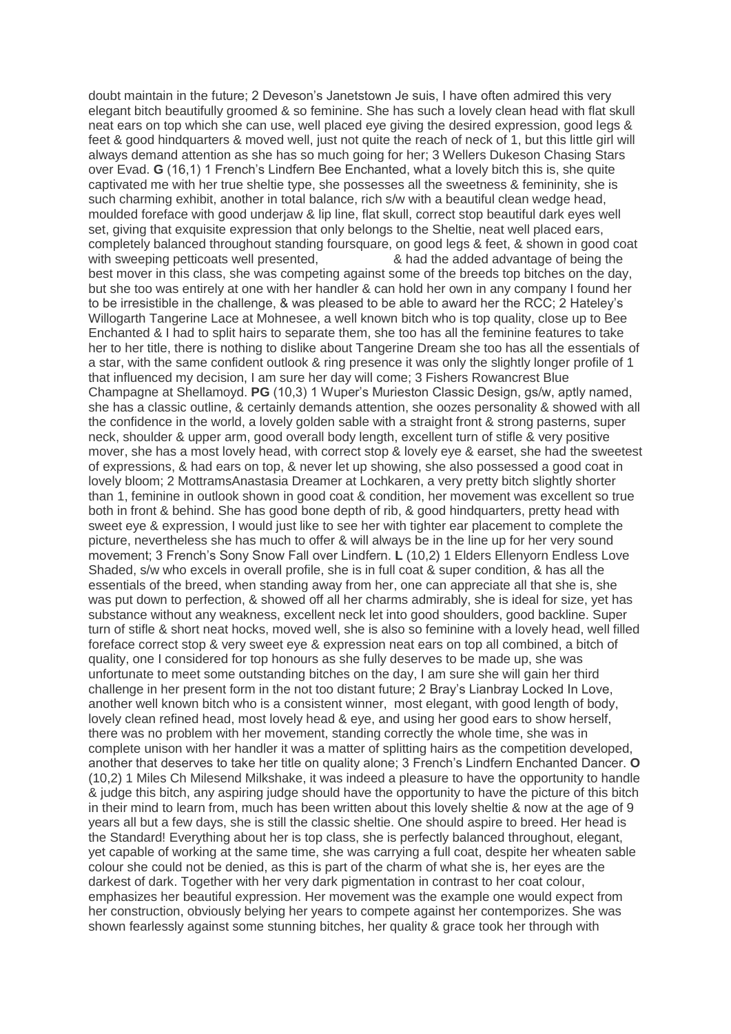doubt maintain in the future; 2 Deveson's Janetstown Je suis, I have often admired this very elegant bitch beautifully groomed & so feminine. She has such a lovely clean head with flat skull neat ears on top which she can use, well placed eye giving the desired expression, good legs & feet & good hindquarters & moved well, just not quite the reach of neck of 1, but this little girl will always demand attention as she has so much going for her; 3 Wellers Dukeson Chasing Stars over Evad. **G** (16,1) 1 French's Lindfern Bee Enchanted, what a lovely bitch this is, she quite captivated me with her true sheltie type, she possesses all the sweetness & femininity, she is such charming exhibit, another in total balance, rich s/w with a beautiful clean wedge head, moulded foreface with good underjaw & lip line, flat skull, correct stop beautiful dark eyes well set, giving that exquisite expression that only belongs to the Sheltie, neat well placed ears, completely balanced throughout standing foursquare, on good legs & feet, & shown in good coat with sweeping petticoats well presented,  $\&$  had the added advantage of being the best mover in this class, she was competing against some of the breeds top bitches on the day, but she too was entirely at one with her handler & can hold her own in any company I found her to be irresistible in the challenge, & was pleased to be able to award her the RCC; 2 Hateley's Willogarth Tangerine Lace at Mohnesee, a well known bitch who is top quality, close up to Bee Enchanted & I had to split hairs to separate them, she too has all the feminine features to take her to her title, there is nothing to dislike about Tangerine Dream she too has all the essentials of a star, with the same confident outlook & ring presence it was only the slightly longer profile of 1 that influenced my decision, I am sure her day will come; 3 Fishers Rowancrest Blue Champagne at Shellamoyd. **PG** (10,3) 1 Wuper's Murieston Classic Design, gs/w, aptly named, she has a classic outline, & certainly demands attention, she oozes personality & showed with all the confidence in the world, a lovely golden sable with a straight front & strong pasterns, super neck, shoulder & upper arm, good overall body length, excellent turn of stifle & very positive mover, she has a most lovely head, with correct stop & lovely eye & earset, she had the sweetest of expressions, & had ears on top, & never let up showing, she also possessed a good coat in lovely bloom; 2 MottramsAnastasia Dreamer at Lochkaren, a very pretty bitch slightly shorter than 1, feminine in outlook shown in good coat & condition, her movement was excellent so true both in front & behind. She has good bone depth of rib, & good hindquarters, pretty head with sweet eye & expression, I would just like to see her with tighter ear placement to complete the picture, nevertheless she has much to offer & will always be in the line up for her very sound movement; 3 French's Sony Snow Fall over Lindfern. **L** (10,2) 1 Elders Ellenyorn Endless Love Shaded, s/w who excels in overall profile, she is in full coat & super condition, & has all the essentials of the breed, when standing away from her, one can appreciate all that she is, she was put down to perfection, & showed off all her charms admirably, she is ideal for size, yet has substance without any weakness, excellent neck let into good shoulders, good backline. Super turn of stifle & short neat hocks, moved well, she is also so feminine with a lovely head, well filled foreface correct stop & very sweet eye & expression neat ears on top all combined, a bitch of quality, one I considered for top honours as she fully deserves to be made up, she was unfortunate to meet some outstanding bitches on the day, I am sure she will gain her third challenge in her present form in the not too distant future; 2 Bray's Lianbray Locked In Love, another well known bitch who is a consistent winner, most elegant, with good length of body, lovely clean refined head, most lovely head & eye, and using her good ears to show herself, there was no problem with her movement, standing correctly the whole time, she was in complete unison with her handler it was a matter of splitting hairs as the competition developed, another that deserves to take her title on quality alone; 3 French's Lindfern Enchanted Dancer. **O** (10,2) 1 Miles Ch Milesend Milkshake, it was indeed a pleasure to have the opportunity to handle & judge this bitch, any aspiring judge should have the opportunity to have the picture of this bitch in their mind to learn from, much has been written about this lovely sheltie & now at the age of 9 years all but a few days, she is still the classic sheltie. One should aspire to breed. Her head is the Standard! Everything about her is top class, she is perfectly balanced throughout, elegant, yet capable of working at the same time, she was carrying a full coat, despite her wheaten sable colour she could not be denied, as this is part of the charm of what she is, her eyes are the darkest of dark. Together with her very dark pigmentation in contrast to her coat colour, emphasizes her beautiful expression. Her movement was the example one would expect from her construction, obviously belying her years to compete against her contemporizes. She was shown fearlessly against some stunning bitches, her quality & grace took her through with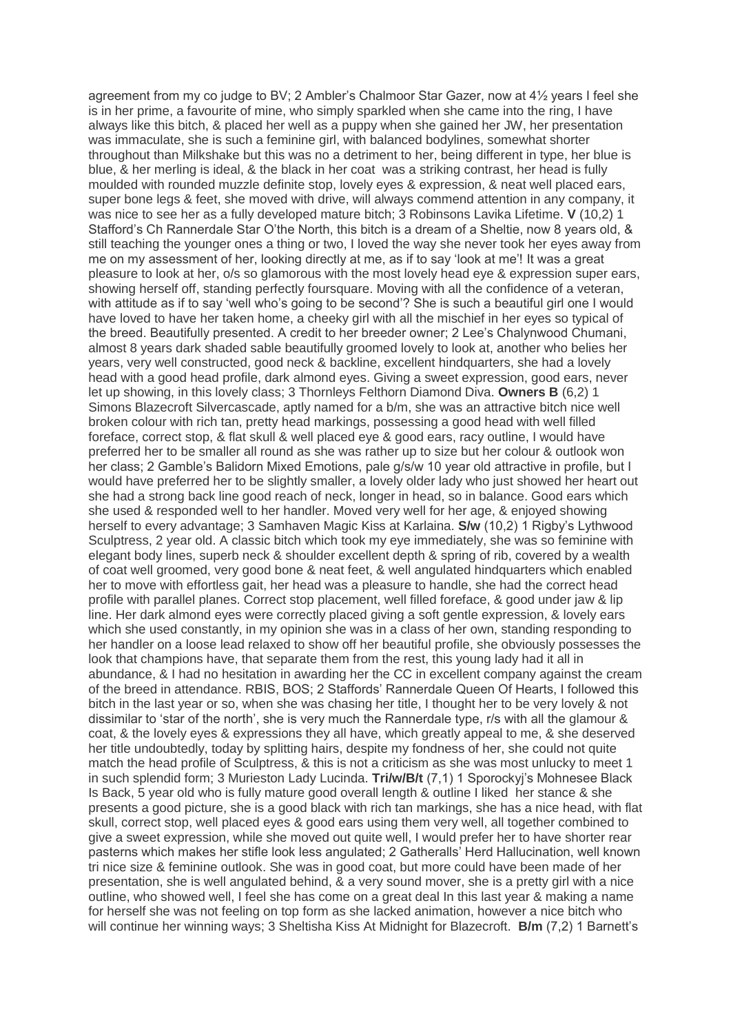agreement from my co judge to BV; 2 Ambler's Chalmoor Star Gazer, now at 4½ years I feel she is in her prime, a favourite of mine, who simply sparkled when she came into the ring, I have always like this bitch, & placed her well as a puppy when she gained her JW, her presentation was immaculate, she is such a feminine girl, with balanced bodylines, somewhat shorter throughout than Milkshake but this was no a detriment to her, being different in type, her blue is blue, & her merling is ideal, & the black in her coat was a striking contrast, her head is fully moulded with rounded muzzle definite stop, lovely eyes & expression, & neat well placed ears, super bone legs & feet, she moved with drive, will always commend attention in any company, it was nice to see her as a fully developed mature bitch; 3 Robinsons Lavika Lifetime. **V** (10,2) 1 Stafford's Ch Rannerdale Star O'the North, this bitch is a dream of a Sheltie, now 8 years old, & still teaching the younger ones a thing or two, I loved the way she never took her eyes away from me on my assessment of her, looking directly at me, as if to say 'look at me'! It was a great pleasure to look at her, o/s so glamorous with the most lovely head eye & expression super ears, showing herself off, standing perfectly foursquare. Moving with all the confidence of a veteran, with attitude as if to say 'well who's going to be second'? She is such a beautiful girl one I would have loved to have her taken home, a cheeky girl with all the mischief in her eyes so typical of the breed. Beautifully presented. A credit to her breeder owner; 2 Lee's Chalynwood Chumani, almost 8 years dark shaded sable beautifully groomed lovely to look at, another who belies her years, very well constructed, good neck & backline, excellent hindquarters, she had a lovely head with a good head profile, dark almond eyes. Giving a sweet expression, good ears, never let up showing, in this lovely class; 3 Thornleys Felthorn Diamond Diva. **Owners B** (6,2) 1 Simons Blazecroft Silvercascade, aptly named for a b/m, she was an attractive bitch nice well broken colour with rich tan, pretty head markings, possessing a good head with well filled foreface, correct stop, & flat skull & well placed eye & good ears, racy outline, I would have preferred her to be smaller all round as she was rather up to size but her colour & outlook won her class; 2 Gamble's Balidorn Mixed Emotions, pale g/s/w 10 year old attractive in profile, but I would have preferred her to be slightly smaller, a lovely older lady who just showed her heart out she had a strong back line good reach of neck, longer in head, so in balance. Good ears which she used & responded well to her handler. Moved very well for her age, & enjoyed showing herself to every advantage; 3 Samhaven Magic Kiss at Karlaina. **S/w** (10,2) 1 Rigby's Lythwood Sculptress, 2 year old. A classic bitch which took my eye immediately, she was so feminine with elegant body lines, superb neck & shoulder excellent depth & spring of rib, covered by a wealth of coat well groomed, very good bone & neat feet, & well angulated hindquarters which enabled her to move with effortless gait, her head was a pleasure to handle, she had the correct head profile with parallel planes. Correct stop placement, well filled foreface, & good under jaw & lip line. Her dark almond eyes were correctly placed giving a soft gentle expression, & lovely ears which she used constantly, in my opinion she was in a class of her own, standing responding to her handler on a loose lead relaxed to show off her beautiful profile, she obviously possesses the look that champions have, that separate them from the rest, this young lady had it all in abundance, & I had no hesitation in awarding her the CC in excellent company against the cream of the breed in attendance. RBIS, BOS; 2 Staffords' Rannerdale Queen Of Hearts, I followed this bitch in the last year or so, when she was chasing her title, I thought her to be very lovely & not dissimilar to 'star of the north', she is very much the Rannerdale type, r/s with all the glamour & coat, & the lovely eyes & expressions they all have, which greatly appeal to me, & she deserved her title undoubtedly, today by splitting hairs, despite my fondness of her, she could not quite match the head profile of Sculptress, & this is not a criticism as she was most unlucky to meet 1 in such splendid form; 3 Murieston Lady Lucinda. **Tri/w/B/t** (7,1) 1 Sporockyj's Mohnesee Black Is Back, 5 year old who is fully mature good overall length & outline I liked her stance & she presents a good picture, she is a good black with rich tan markings, she has a nice head, with flat skull, correct stop, well placed eyes & good ears using them very well, all together combined to give a sweet expression, while she moved out quite well, I would prefer her to have shorter rear pasterns which makes her stifle look less angulated; 2 Gatheralls' Herd Hallucination, well known tri nice size & feminine outlook. She was in good coat, but more could have been made of her presentation, she is well angulated behind, & a very sound mover, she is a pretty girl with a nice outline, who showed well, I feel she has come on a great deal In this last year & making a name for herself she was not feeling on top form as she lacked animation, however a nice bitch who will continue her winning ways; 3 Sheltisha Kiss At Midnight for Blazecroft. **B/m** (7,2) 1 Barnett's